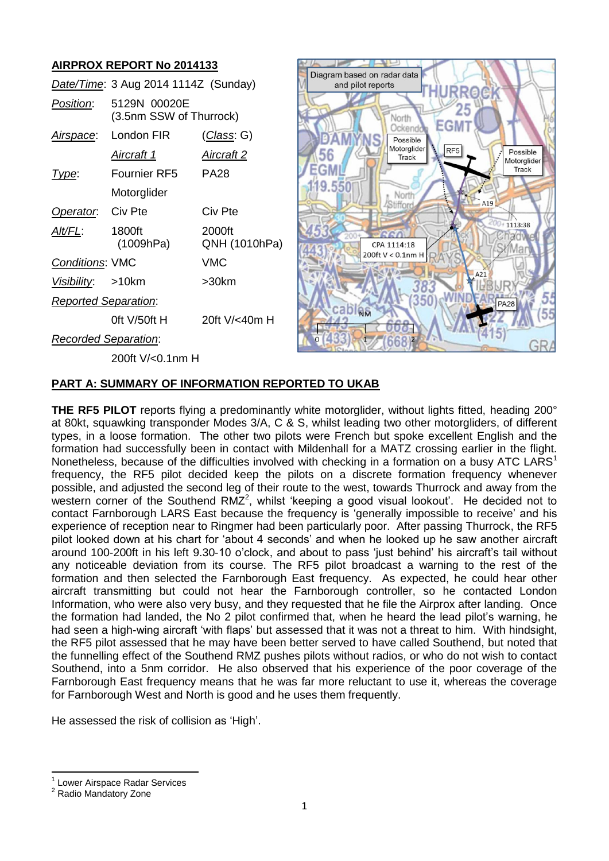# **AIRPROX REPORT No 2014133**

|                             | Date/Time: 3 Aug 2014 1114Z (Sunday)    |                         |
|-----------------------------|-----------------------------------------|-------------------------|
| Position:                   | 5129N 00020E<br>(3.5nm SSW of Thurrock) |                         |
|                             | Airspace: London FIR                    | <u>(Class</u> : G)      |
|                             | <u>Aircraft 1</u>                       | <u>Aircraft 2</u>       |
| Type:                       | Fournier RF5                            | <b>PA28</b>             |
|                             | Motorglider                             |                         |
| Operator. Civ Pte           |                                         | Civ Pte                 |
| Alt/FL:                     | 1800ft<br>(1009hPa)                     | 2000ft<br>QNH (1010hPa) |
| <b>Conditions: VMC</b>      |                                         | VMC                     |
| Visibility: >10km           |                                         | >30km                   |
| <b>Reported Separation:</b> |                                         |                         |
|                             | Oft $V/50$ ft H                         | 20ft $V$ / $<$ 40m H    |
| <b>Recorded Separation:</b> |                                         |                         |
|                             | 200ft V/<0.1nm H                        |                         |



# **PART A: SUMMARY OF INFORMATION REPORTED TO UKAB**

**THE RF5 PILOT** reports flying a predominantly white motorglider, without lights fitted, heading 200° at 80kt, squawking transponder Modes 3/A, C & S, whilst leading two other motorgliders, of different types, in a loose formation. The other two pilots were French but spoke excellent English and the formation had successfully been in contact with Mildenhall for a MATZ crossing earlier in the flight. Nonetheless, because of the difficulties involved with checking in a formation on a busy ATC LARS<sup>1</sup> frequency, the RF5 pilot decided keep the pilots on a discrete formation frequency whenever possible, and adjusted the second leg of their route to the west, towards Thurrock and away from the western corner of the Southend RMZ<sup>2</sup>, whilst 'keeping a good visual lookout'. He decided not to contact Farnborough LARS East because the frequency is 'generally impossible to receive' and his experience of reception near to Ringmer had been particularly poor. After passing Thurrock, the RF5 pilot looked down at his chart for 'about 4 seconds' and when he looked up he saw another aircraft around 100-200ft in his left 9.30-10 o'clock, and about to pass 'just behind' his aircraft's tail without any noticeable deviation from its course. The RF5 pilot broadcast a warning to the rest of the formation and then selected the Farnborough East frequency. As expected, he could hear other aircraft transmitting but could not hear the Farnborough controller, so he contacted London Information, who were also very busy, and they requested that he file the Airprox after landing. Once the formation had landed, the No 2 pilot confirmed that, when he heard the lead pilot's warning, he had seen a high-wing aircraft 'with flaps' but assessed that it was not a threat to him. With hindsight, the RF5 pilot assessed that he may have been better served to have called Southend, but noted that the funnelling effect of the Southend RMZ pushes pilots without radios, or who do not wish to contact Southend, into a 5nm corridor. He also observed that his experience of the poor coverage of the Farnborough East frequency means that he was far more reluctant to use it, whereas the coverage for Farnborough West and North is good and he uses them frequently.

He assessed the risk of collision as 'High'.

 $\overline{\phantom{a}}$ 

<sup>1</sup> Lower Airspace Radar Services

<sup>2</sup> Radio Mandatory Zone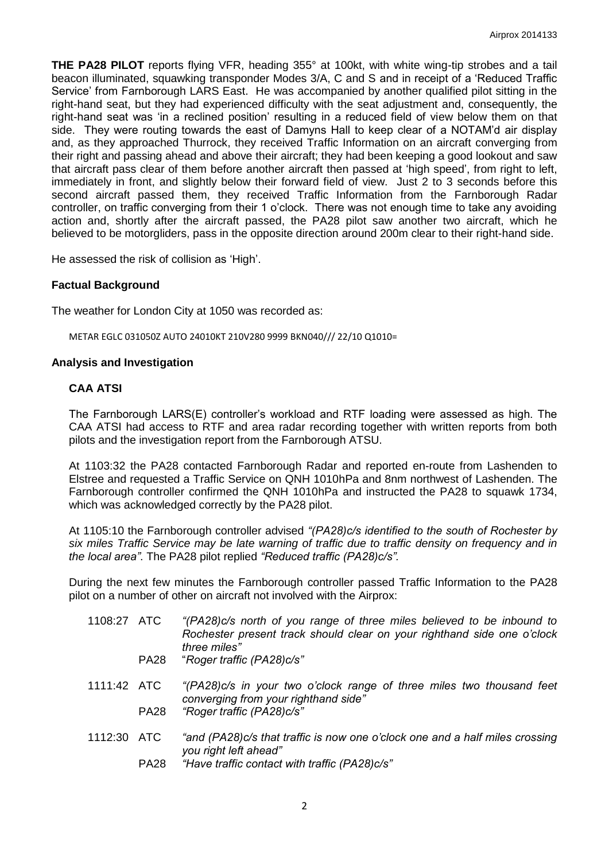**THE PA28 PILOT** reports flying VFR, heading 355° at 100kt, with white wing-tip strobes and a tail beacon illuminated, squawking transponder Modes 3/A, C and S and in receipt of a 'Reduced Traffic Service' from Farnborough LARS East. He was accompanied by another qualified pilot sitting in the right-hand seat, but they had experienced difficulty with the seat adjustment and, consequently, the right-hand seat was 'in a reclined position' resulting in a reduced field of view below them on that side. They were routing towards the east of Damyns Hall to keep clear of a NOTAM'd air display and, as they approached Thurrock, they received Traffic Information on an aircraft converging from their right and passing ahead and above their aircraft; they had been keeping a good lookout and saw that aircraft pass clear of them before another aircraft then passed at 'high speed', from right to left, immediately in front, and slightly below their forward field of view. Just 2 to 3 seconds before this second aircraft passed them, they received Traffic Information from the Farnborough Radar controller, on traffic converging from their 1 o'clock. There was not enough time to take any avoiding action and, shortly after the aircraft passed, the PA28 pilot saw another two aircraft, which he believed to be motorgliders, pass in the opposite direction around 200m clear to their right-hand side.

He assessed the risk of collision as 'High'.

## **Factual Background**

The weather for London City at 1050 was recorded as:

METAR EGLC 031050Z AUTO 24010KT 210V280 9999 BKN040/// 22/10 Q1010=

#### **Analysis and Investigation**

#### **CAA ATSI**

The Farnborough LARS(E) controller's workload and RTF loading were assessed as high. The CAA ATSI had access to RTF and area radar recording together with written reports from both pilots and the investigation report from the Farnborough ATSU.

At 1103:32 the PA28 contacted Farnborough Radar and reported en-route from Lashenden to Elstree and requested a Traffic Service on QNH 1010hPa and 8nm northwest of Lashenden. The Farnborough controller confirmed the QNH 1010hPa and instructed the PA28 to squawk 1734, which was acknowledged correctly by the PA28 pilot.

At 1105:10 the Farnborough controller advised *"(PA28)c/s identified to the south of Rochester by six miles Traffic Service may be late warning of traffic due to traffic density on frequency and in the local area"*. The PA28 pilot replied *"Reduced traffic (PA28)c/s".*

During the next few minutes the Farnborough controller passed Traffic Information to the PA28 pilot on a number of other on aircraft not involved with the Airprox:

- 1108:27 ATC *"(PA28)c/s north of you range of three miles believed to be inbound to Rochester present track should clear on your righthand side one o'clock three miles"* PA28 "*Roger traffic (PA28)c/s"*
- 1111:42 ATC *"(PA28)c/s in your two o'clock range of three miles two thousand feet converging from your righthand side"* PA28 *"Roger traffic (PA28)c/s"*
- 1112:30 ATC *"and (PA28)c/s that traffic is now one o'clock one and a half miles crossing you right left ahead"*
	- PA28 *"Have traffic contact with traffic (PA28)c/s"*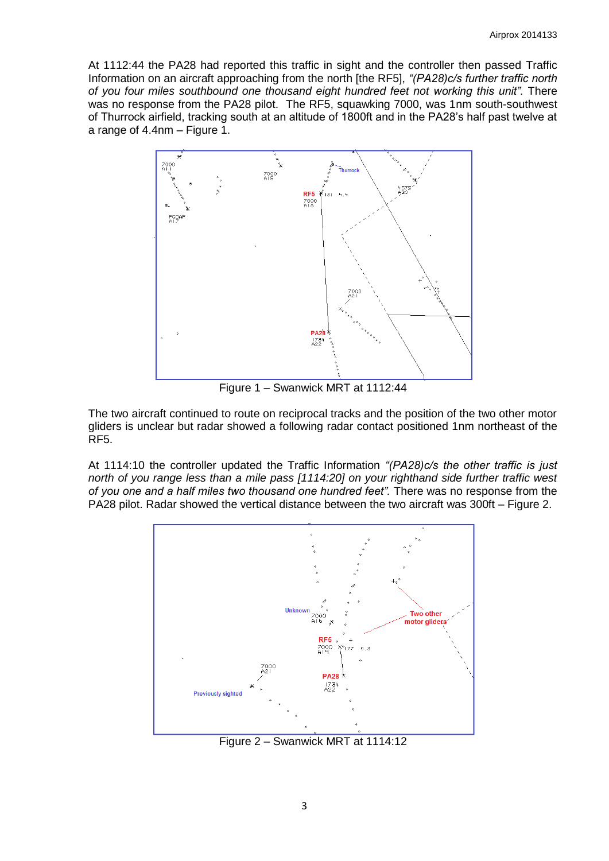At 1112:44 the PA28 had reported this traffic in sight and the controller then passed Traffic Information on an aircraft approaching from the north [the RF5], *"(PA28)c/s further traffic north of you four miles southbound one thousand eight hundred feet not working this unit".* There was no response from the PA28 pilot. The RF5, squawking 7000, was 1nm south-southwest of Thurrock airfield, tracking south at an altitude of 1800ft and in the PA28's half past twelve at a range of 4.4nm – Figure 1.



Figure 1 – Swanwick MRT at 1112:44

The two aircraft continued to route on reciprocal tracks and the position of the two other motor gliders is unclear but radar showed a following radar contact positioned 1nm northeast of the RF5.

At 1114:10 the controller updated the Traffic Information *"(PA28)c/s the other traffic is just north of you range less than a mile pass [1114:20] on your righthand side further traffic west of you one and a half miles two thousand one hundred feet".* There was no response from the PA28 pilot. Radar showed the vertical distance between the two aircraft was 300ft – Figure 2.



Figure 2 – Swanwick MRT at 1114:12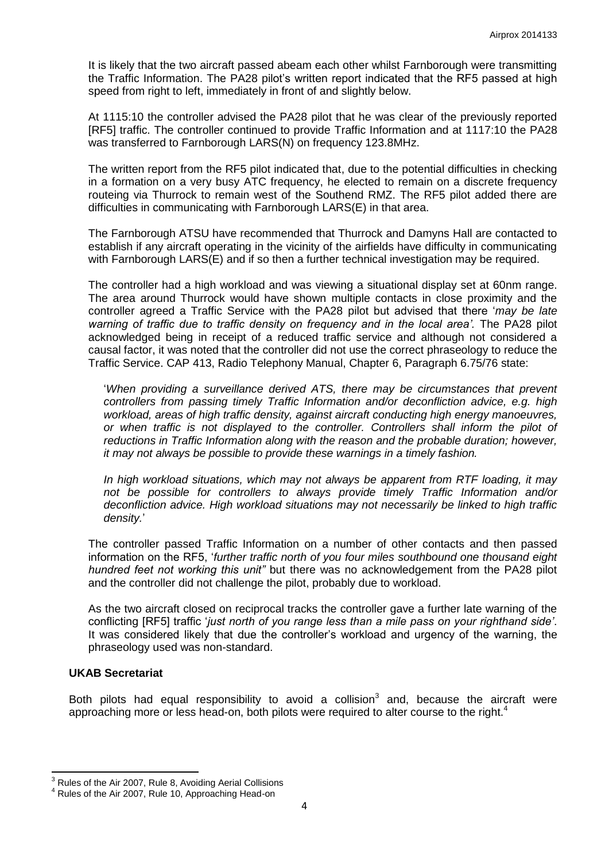It is likely that the two aircraft passed abeam each other whilst Farnborough were transmitting the Traffic Information. The PA28 pilot's written report indicated that the RF5 passed at high speed from right to left, immediately in front of and slightly below.

At 1115:10 the controller advised the PA28 pilot that he was clear of the previously reported [RF5] traffic. The controller continued to provide Traffic Information and at 1117:10 the PA28 was transferred to Farnborough LARS(N) on frequency 123.8MHz.

The written report from the RF5 pilot indicated that, due to the potential difficulties in checking in a formation on a very busy ATC frequency, he elected to remain on a discrete frequency routeing via Thurrock to remain west of the Southend RMZ. The RF5 pilot added there are difficulties in communicating with Farnborough LARS(E) in that area.

The Farnborough ATSU have recommended that Thurrock and Damyns Hall are contacted to establish if any aircraft operating in the vicinity of the airfields have difficulty in communicating with Farnborough LARS(E) and if so then a further technical investigation may be required.

The controller had a high workload and was viewing a situational display set at 60nm range. The area around Thurrock would have shown multiple contacts in close proximity and the controller agreed a Traffic Service with the PA28 pilot but advised that there '*may be late warning of traffic due to traffic density on frequency and in the local area'.* The PA28 pilot acknowledged being in receipt of a reduced traffic service and although not considered a causal factor, it was noted that the controller did not use the correct phraseology to reduce the Traffic Service. CAP 413, Radio Telephony Manual, Chapter 6, Paragraph 6.75/76 state:

'*When providing a surveillance derived ATS, there may be circumstances that prevent controllers from passing timely Traffic Information and/or deconfliction advice, e.g. high workload, areas of high traffic density, against aircraft conducting high energy manoeuvres, or when traffic is not displayed to the controller. Controllers shall inform the pilot of reductions in Traffic Information along with the reason and the probable duration; however, it may not always be possible to provide these warnings in a timely fashion.* 

*In high workload situations, which may not always be apparent from RTF loading, it may not be possible for controllers to always provide timely Traffic Information and/or deconfliction advice. High workload situations may not necessarily be linked to high traffic density.*'

The controller passed Traffic Information on a number of other contacts and then passed information on the RF5, '*further traffic north of you four miles southbound one thousand eight hundred feet not working this unit"* but there was no acknowledgement from the PA28 pilot and the controller did not challenge the pilot, probably due to workload.

As the two aircraft closed on reciprocal tracks the controller gave a further late warning of the conflicting [RF5] traffic '*just north of you range less than a mile pass on your righthand side'*. It was considered likely that due the controller's workload and urgency of the warning, the phraseology used was non-standard.

## **UKAB Secretariat**

 $\overline{\phantom{a}}$ 

Both pilots had equal responsibility to avoid a collision $3$  and, because the aircraft were approaching more or less head-on, both pilots were required to alter course to the right.<sup>4</sup>

 $3<sup>3</sup>$  Rules of the Air 2007, Rule 8, Avoiding Aerial Collisions

<sup>4</sup> Rules of the Air 2007, Rule 10, Approaching Head-on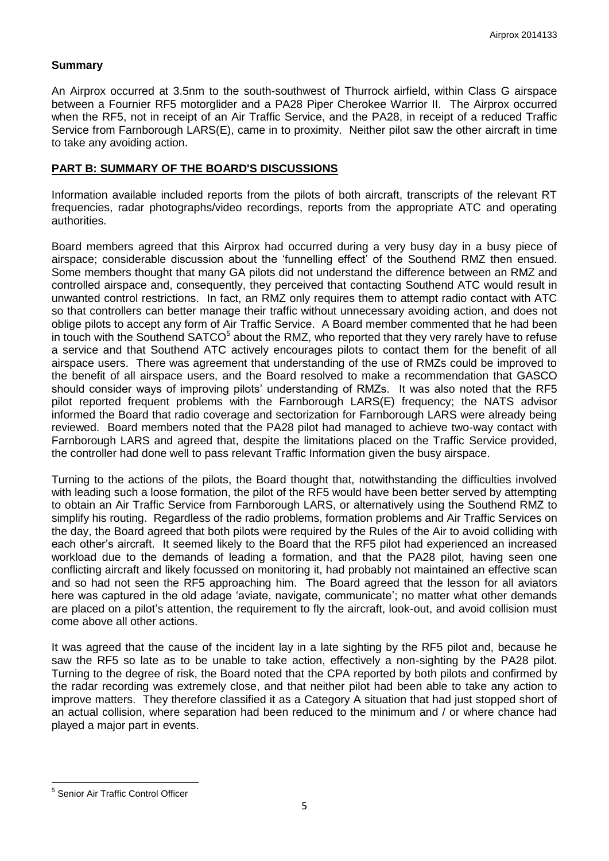## **Summary**

An Airprox occurred at 3.5nm to the south-southwest of Thurrock airfield, within Class G airspace between a Fournier RF5 motorglider and a PA28 Piper Cherokee Warrior II. The Airprox occurred when the RF5, not in receipt of an Air Traffic Service, and the PA28, in receipt of a reduced Traffic Service from Farnborough LARS(E), came in to proximity. Neither pilot saw the other aircraft in time to take any avoiding action.

### **PART B: SUMMARY OF THE BOARD'S DISCUSSIONS**

Information available included reports from the pilots of both aircraft, transcripts of the relevant RT frequencies, radar photographs/video recordings, reports from the appropriate ATC and operating authorities.

Board members agreed that this Airprox had occurred during a very busy day in a busy piece of airspace; considerable discussion about the 'funnelling effect' of the Southend RMZ then ensued. Some members thought that many GA pilots did not understand the difference between an RMZ and controlled airspace and, consequently, they perceived that contacting Southend ATC would result in unwanted control restrictions. In fact, an RMZ only requires them to attempt radio contact with ATC so that controllers can better manage their traffic without unnecessary avoiding action, and does not oblige pilots to accept any form of Air Traffic Service. A Board member commented that he had been in touch with the Southend SATCO<sup>5</sup> about the RMZ, who reported that they very rarely have to refuse a service and that Southend ATC actively encourages pilots to contact them for the benefit of all airspace users. There was agreement that understanding of the use of RMZs could be improved to the benefit of all airspace users, and the Board resolved to make a recommendation that GASCO should consider ways of improving pilots' understanding of RMZs. It was also noted that the RF5 pilot reported frequent problems with the Farnborough LARS(E) frequency; the NATS advisor informed the Board that radio coverage and sectorization for Farnborough LARS were already being reviewed. Board members noted that the PA28 pilot had managed to achieve two-way contact with Farnborough LARS and agreed that, despite the limitations placed on the Traffic Service provided, the controller had done well to pass relevant Traffic Information given the busy airspace.

Turning to the actions of the pilots, the Board thought that, notwithstanding the difficulties involved with leading such a loose formation, the pilot of the RF5 would have been better served by attempting to obtain an Air Traffic Service from Farnborough LARS, or alternatively using the Southend RMZ to simplify his routing. Regardless of the radio problems, formation problems and Air Traffic Services on the day, the Board agreed that both pilots were required by the Rules of the Air to avoid colliding with each other's aircraft. It seemed likely to the Board that the RF5 pilot had experienced an increased workload due to the demands of leading a formation, and that the PA28 pilot, having seen one conflicting aircraft and likely focussed on monitoring it, had probably not maintained an effective scan and so had not seen the RF5 approaching him. The Board agreed that the lesson for all aviators here was captured in the old adage 'aviate, navigate, communicate'; no matter what other demands are placed on a pilot's attention, the requirement to fly the aircraft, look-out, and avoid collision must come above all other actions.

It was agreed that the cause of the incident lay in a late sighting by the RF5 pilot and, because he saw the RF5 so late as to be unable to take action, effectively a non-sighting by the PA28 pilot. Turning to the degree of risk, the Board noted that the CPA reported by both pilots and confirmed by the radar recording was extremely close, and that neither pilot had been able to take any action to improve matters. They therefore classified it as a Category A situation that had just stopped short of an actual collision, where separation had been reduced to the minimum and / or where chance had played a major part in events.

<sup>&</sup>lt;u>s</u><br><sup>5</sup> Senior Air Traffic Control Officer